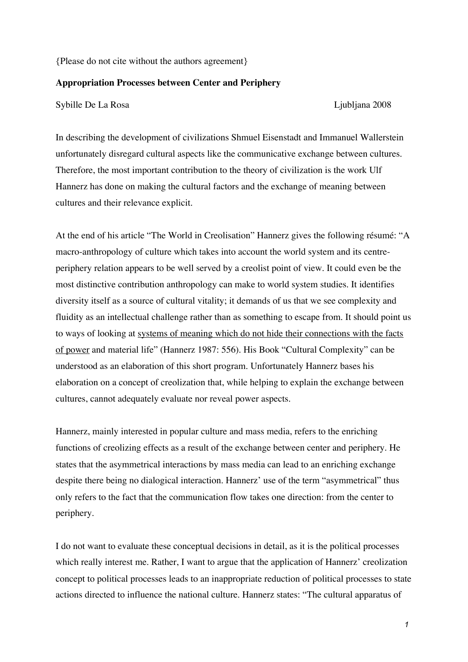{Please do not cite without the authors agreement}

#### **Appropriation Processes between Center and Periphery**

Sybille De La Rosa Ljubljana 2008

In describing the development of civilizations Shmuel Eisenstadt and Immanuel Wallerstein unfortunately disregard cultural aspects like the communicative exchange between cultures. Therefore, the most important contribution to the theory of civilization is the work Ulf Hannerz has done on making the cultural factors and the exchange of meaning between cultures and their relevance explicit.

At the end of his article "The World in Creolisation" Hannerz gives the following résumé: "A macro-anthropology of culture which takes into account the world system and its centreperiphery relation appears to be well served by a creolist point of view. It could even be the most distinctive contribution anthropology can make to world system studies. It identifies diversity itself as a source of cultural vitality; it demands of us that we see complexity and fluidity as an intellectual challenge rather than as something to escape from. It should point us to ways of looking at systems of meaning which do not hide their connections with the facts of power and material life" (Hannerz 1987: 556). His Book "Cultural Complexity" can be understood as an elaboration of this short program. Unfortunately Hannerz bases his elaboration on a concept of creolization that, while helping to explain the exchange between cultures, cannot adequately evaluate nor reveal power aspects.

Hannerz, mainly interested in popular culture and mass media, refers to the enriching functions of creolizing effects as a result of the exchange between center and periphery. He states that the asymmetrical interactions by mass media can lead to an enriching exchange despite there being no dialogical interaction. Hannerz' use of the term "asymmetrical" thus only refers to the fact that the communication flow takes one direction: from the center to periphery.

I do not want to evaluate these conceptual decisions in detail, as it is the political processes which really interest me. Rather, I want to argue that the application of Hannerz' creolization concept to political processes leads to an inappropriate reduction of political processes to state actions directed to influence the national culture. Hannerz states: "The cultural apparatus of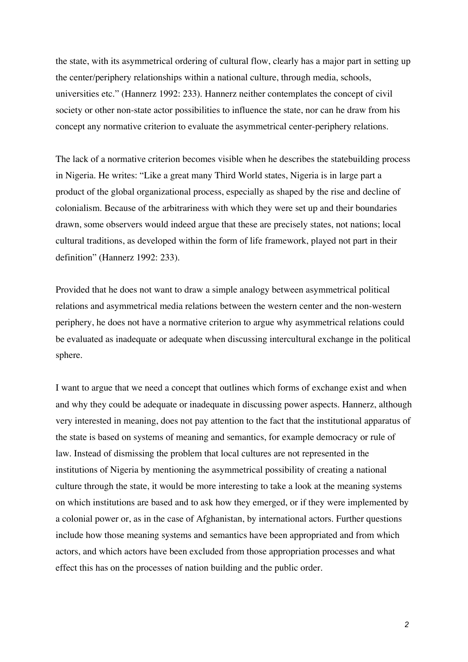the state, with its asymmetrical ordering of cultural flow, clearly has a major part in setting up the center/periphery relationships within a national culture, through media, schools, universities etc." (Hannerz 1992: 233). Hannerz neither contemplates the concept of civil society or other non-state actor possibilities to influence the state, nor can he draw from his concept any normative criterion to evaluate the asymmetrical center-periphery relations.

The lack of a normative criterion becomes visible when he describes the statebuilding process in Nigeria. He writes: "Like a great many Third World states, Nigeria is in large part a product of the global organizational process, especially as shaped by the rise and decline of colonialism. Because of the arbitrariness with which they were set up and their boundaries drawn, some observers would indeed argue that these are precisely states, not nations; local cultural traditions, as developed within the form of life framework, played not part in their definition" (Hannerz 1992: 233).

Provided that he does not want to draw a simple analogy between asymmetrical political relations and asymmetrical media relations between the western center and the non-western periphery, he does not have a normative criterion to argue why asymmetrical relations could be evaluated as inadequate or adequate when discussing intercultural exchange in the political sphere.

I want to argue that we need a concept that outlines which forms of exchange exist and when and why they could be adequate or inadequate in discussing power aspects. Hannerz, although very interested in meaning, does not pay attention to the fact that the institutional apparatus of the state is based on systems of meaning and semantics, for example democracy or rule of law. Instead of dismissing the problem that local cultures are not represented in the institutions of Nigeria by mentioning the asymmetrical possibility of creating a national culture through the state, it would be more interesting to take a look at the meaning systems on which institutions are based and to ask how they emerged, or if they were implemented by a colonial power or, as in the case of Afghanistan, by international actors. Further questions include how those meaning systems and semantics have been appropriated and from which actors, and which actors have been excluded from those appropriation processes and what effect this has on the processes of nation building and the public order.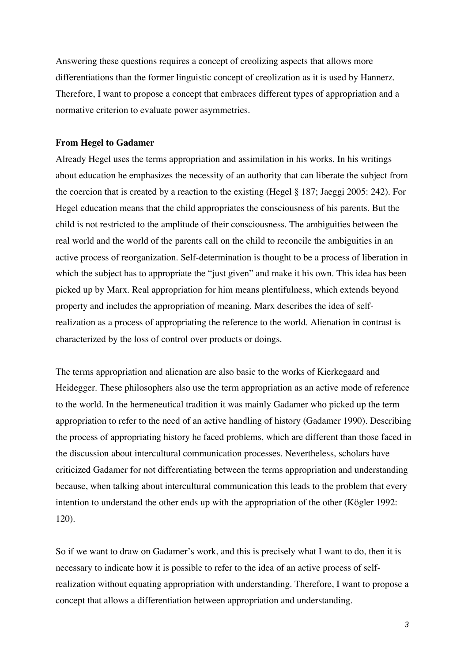Answering these questions requires a concept of creolizing aspects that allows more differentiations than the former linguistic concept of creolization as it is used by Hannerz. Therefore, I want to propose a concept that embraces different types of appropriation and a normative criterion to evaluate power asymmetries.

## **From Hegel to Gadamer**

Already Hegel uses the terms appropriation and assimilation in his works. In his writings about education he emphasizes the necessity of an authority that can liberate the subject from the coercion that is created by a reaction to the existing (Hegel § 187; Jaeggi 2005: 242). For Hegel education means that the child appropriates the consciousness of his parents. But the child is not restricted to the amplitude of their consciousness. The ambiguities between the real world and the world of the parents call on the child to reconcile the ambiguities in an active process of reorganization. Self-determination is thought to be a process of liberation in which the subject has to appropriate the "just given" and make it his own. This idea has been picked up by Marx. Real appropriation for him means plentifulness, which extends beyond property and includes the appropriation of meaning. Marx describes the idea of selfrealization as a process of appropriating the reference to the world. Alienation in contrast is characterized by the loss of control over products or doings.

The terms appropriation and alienation are also basic to the works of Kierkegaard and Heidegger. These philosophers also use the term appropriation as an active mode of reference to the world. In the hermeneutical tradition it was mainly Gadamer who picked up the term appropriation to refer to the need of an active handling of history (Gadamer 1990). Describing the process of appropriating history he faced problems, which are different than those faced in the discussion about intercultural communication processes. Nevertheless, scholars have criticized Gadamer for not differentiating between the terms appropriation and understanding because, when talking about intercultural communication this leads to the problem that every intention to understand the other ends up with the appropriation of the other (Kögler 1992: 120).

So if we want to draw on Gadamer's work, and this is precisely what I want to do, then it is necessary to indicate how it is possible to refer to the idea of an active process of selfrealization without equating appropriation with understanding. Therefore, I want to propose a concept that allows a differentiation between appropriation and understanding.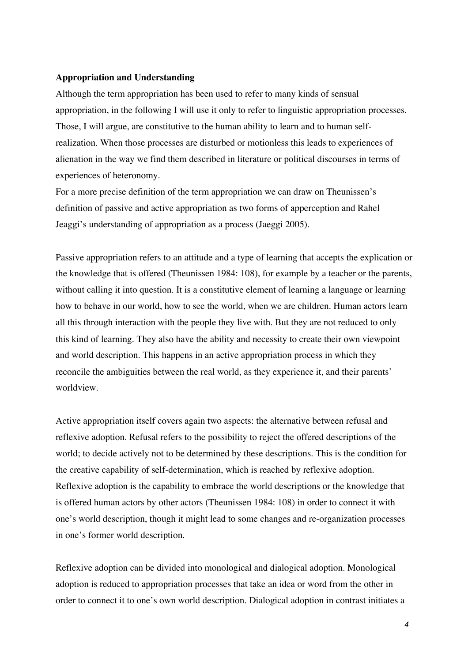## **Appropriation and Understanding**

Although the term appropriation has been used to refer to many kinds of sensual appropriation, in the following I will use it only to refer to linguistic appropriation processes. Those, I will argue, are constitutive to the human ability to learn and to human selfrealization. When those processes are disturbed or motionless this leads to experiences of alienation in the way we find them described in literature or political discourses in terms of experiences of heteronomy.

For a more precise definition of the term appropriation we can draw on Theunissen's definition of passive and active appropriation as two forms of apperception and Rahel Jeaggi's understanding of appropriation as a process (Jaeggi 2005).

Passive appropriation refers to an attitude and a type of learning that accepts the explication or the knowledge that is offered (Theunissen 1984: 108), for example by a teacher or the parents, without calling it into question. It is a constitutive element of learning a language or learning how to behave in our world, how to see the world, when we are children. Human actors learn all this through interaction with the people they live with. But they are not reduced to only this kind of learning. They also have the ability and necessity to create their own viewpoint and world description. This happens in an active appropriation process in which they reconcile the ambiguities between the real world, as they experience it, and their parents' worldview.

Active appropriation itself covers again two aspects: the alternative between refusal and reflexive adoption. Refusal refers to the possibility to reject the offered descriptions of the world; to decide actively not to be determined by these descriptions. This is the condition for the creative capability of self-determination, which is reached by reflexive adoption. Reflexive adoption is the capability to embrace the world descriptions or the knowledge that is offered human actors by other actors (Theunissen 1984: 108) in order to connect it with one's world description, though it might lead to some changes and re-organization processes in one's former world description.

Reflexive adoption can be divided into monological and dialogical adoption. Monological adoption is reduced to appropriation processes that take an idea or word from the other in order to connect it to one's own world description. Dialogical adoption in contrast initiates a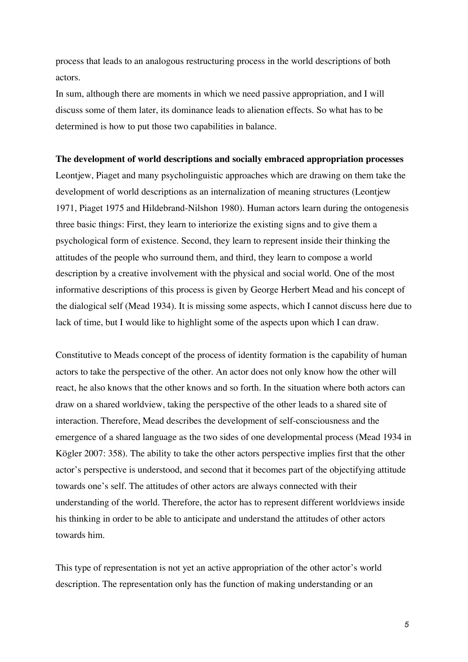process that leads to an analogous restructuring process in the world descriptions of both actors.

In sum, although there are moments in which we need passive appropriation, and I will discuss some of them later, its dominance leads to alienation effects. So what has to be determined is how to put those two capabilities in balance.

#### **The development of world descriptions and socially embraced appropriation processes**

Leontjew, Piaget and many psycholinguistic approaches which are drawing on them take the development of world descriptions as an internalization of meaning structures (Leontjew 1971, Piaget 1975 and Hildebrand-Nilshon 1980). Human actors learn during the ontogenesis three basic things: First, they learn to interiorize the existing signs and to give them a psychological form of existence. Second, they learn to represent inside their thinking the attitudes of the people who surround them, and third, they learn to compose a world description by a creative involvement with the physical and social world. One of the most informative descriptions of this process is given by George Herbert Mead and his concept of the dialogical self (Mead 1934). It is missing some aspects, which I cannot discuss here due to lack of time, but I would like to highlight some of the aspects upon which I can draw.

Constitutive to Meads concept of the process of identity formation is the capability of human actors to take the perspective of the other. An actor does not only know how the other will react, he also knows that the other knows and so forth. In the situation where both actors can draw on a shared worldview, taking the perspective of the other leads to a shared site of interaction. Therefore, Mead describes the development of self-consciousness and the emergence of a shared language as the two sides of one developmental process (Mead 1934 in Kögler 2007: 358). The ability to take the other actors perspective implies first that the other actor's perspective is understood, and second that it becomes part of the objectifying attitude towards one's self. The attitudes of other actors are always connected with their understanding of the world. Therefore, the actor has to represent different worldviews inside his thinking in order to be able to anticipate and understand the attitudes of other actors towards him.

This type of representation is not yet an active appropriation of the other actor's world description. The representation only has the function of making understanding or an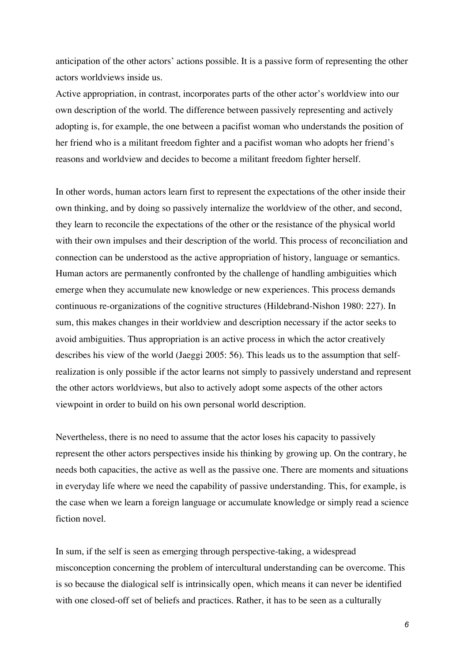anticipation of the other actors' actions possible. It is a passive form of representing the other actors worldviews inside us.

Active appropriation, in contrast, incorporates parts of the other actor's worldview into our own description of the world. The difference between passively representing and actively adopting is, for example, the one between a pacifist woman who understands the position of her friend who is a militant freedom fighter and a pacifist woman who adopts her friend's reasons and worldview and decides to become a militant freedom fighter herself.

In other words, human actors learn first to represent the expectations of the other inside their own thinking, and by doing so passively internalize the worldview of the other, and second, they learn to reconcile the expectations of the other or the resistance of the physical world with their own impulses and their description of the world. This process of reconciliation and connection can be understood as the active appropriation of history, language or semantics. Human actors are permanently confronted by the challenge of handling ambiguities which emerge when they accumulate new knowledge or new experiences. This process demands continuous re-organizations of the cognitive structures (Hildebrand-Nishon 1980: 227). In sum, this makes changes in their worldview and description necessary if the actor seeks to avoid ambiguities. Thus appropriation is an active process in which the actor creatively describes his view of the world (Jaeggi 2005: 56). This leads us to the assumption that selfrealization is only possible if the actor learns not simply to passively understand and represent the other actors worldviews, but also to actively adopt some aspects of the other actors viewpoint in order to build on his own personal world description.

Nevertheless, there is no need to assume that the actor loses his capacity to passively represent the other actors perspectives inside his thinking by growing up. On the contrary, he needs both capacities, the active as well as the passive one. There are moments and situations in everyday life where we need the capability of passive understanding. This, for example, is the case when we learn a foreign language or accumulate knowledge or simply read a science fiction novel.

In sum, if the self is seen as emerging through perspective-taking, a widespread misconception concerning the problem of intercultural understanding can be overcome. This is so because the dialogical self is intrinsically open, which means it can never be identified with one closed-off set of beliefs and practices. Rather, it has to be seen as a culturally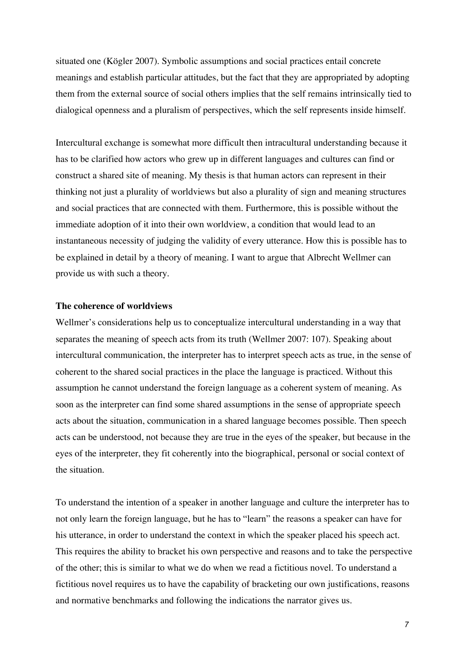situated one (Kögler 2007). Symbolic assumptions and social practices entail concrete meanings and establish particular attitudes, but the fact that they are appropriated by adopting them from the external source of social others implies that the self remains intrinsically tied to dialogical openness and a pluralism of perspectives, which the self represents inside himself.

Intercultural exchange is somewhat more difficult then intracultural understanding because it has to be clarified how actors who grew up in different languages and cultures can find or construct a shared site of meaning. My thesis is that human actors can represent in their thinking not just a plurality of worldviews but also a plurality of sign and meaning structures and social practices that are connected with them. Furthermore, this is possible without the immediate adoption of it into their own worldview, a condition that would lead to an instantaneous necessity of judging the validity of every utterance. How this is possible has to be explained in detail by a theory of meaning. I want to argue that Albrecht Wellmer can provide us with such a theory.

## **The coherence of worldviews**

Wellmer's considerations help us to conceptualize intercultural understanding in a way that separates the meaning of speech acts from its truth (Wellmer 2007: 107). Speaking about intercultural communication, the interpreter has to interpret speech acts as true, in the sense of coherent to the shared social practices in the place the language is practiced. Without this assumption he cannot understand the foreign language as a coherent system of meaning. As soon as the interpreter can find some shared assumptions in the sense of appropriate speech acts about the situation, communication in a shared language becomes possible. Then speech acts can be understood, not because they are true in the eyes of the speaker, but because in the eyes of the interpreter, they fit coherently into the biographical, personal or social context of the situation.

To understand the intention of a speaker in another language and culture the interpreter has to not only learn the foreign language, but he has to "learn" the reasons a speaker can have for his utterance, in order to understand the context in which the speaker placed his speech act. This requires the ability to bracket his own perspective and reasons and to take the perspective of the other; this is similar to what we do when we read a fictitious novel. To understand a fictitious novel requires us to have the capability of bracketing our own justifications, reasons and normative benchmarks and following the indications the narrator gives us.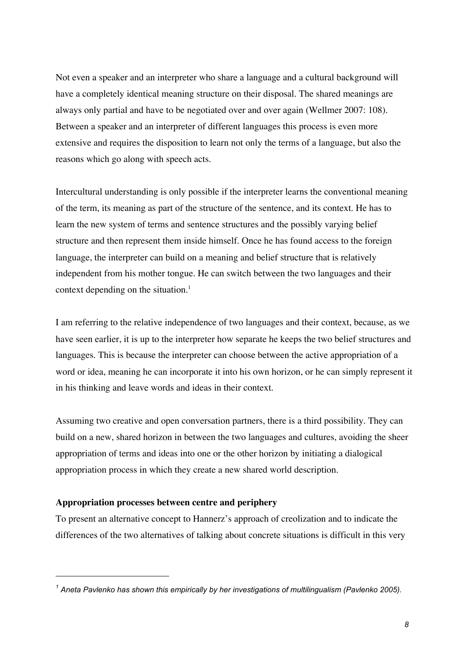Not even a speaker and an interpreter who share a language and a cultural background will have a completely identical meaning structure on their disposal. The shared meanings are always only partial and have to be negotiated over and over again (Wellmer 2007: 108). Between a speaker and an interpreter of different languages this process is even more extensive and requires the disposition to learn not only the terms of a language, but also the reasons which go along with speech acts.

Intercultural understanding is only possible if the interpreter learns the conventional meaning of the term, its meaning as part of the structure of the sentence, and its context. He has to learn the new system of terms and sentence structures and the possibly varying belief structure and then represent them inside himself. Once he has found access to the foreign language, the interpreter can build on a meaning and belief structure that is relatively independent from his mother tongue. He can switch between the two languages and their context depending on the situation. $<sup>1</sup>$ </sup>

I am referring to the relative independence of two languages and their context, because, as we have seen earlier, it is up to the interpreter how separate he keeps the two belief structures and languages. This is because the interpreter can choose between the active appropriation of a word or idea, meaning he can incorporate it into his own horizon, or he can simply represent it in his thinking and leave words and ideas in their context.

Assuming two creative and open conversation partners, there is a third possibility. They can build on a new, shared horizon in between the two languages and cultures, avoiding the sheer appropriation of terms and ideas into one or the other horizon by initiating a dialogical appropriation process in which they create a new shared world description.

### **Appropriation processes between centre and periphery**

 $\overline{a}$ 

To present an alternative concept to Hannerz's approach of creolization and to indicate the differences of the two alternatives of talking about concrete situations is difficult in this very

*<sup>1</sup> Aneta Pavlenko has shown this empirically by her investigations of multilingualism (Pavlenko 2005).*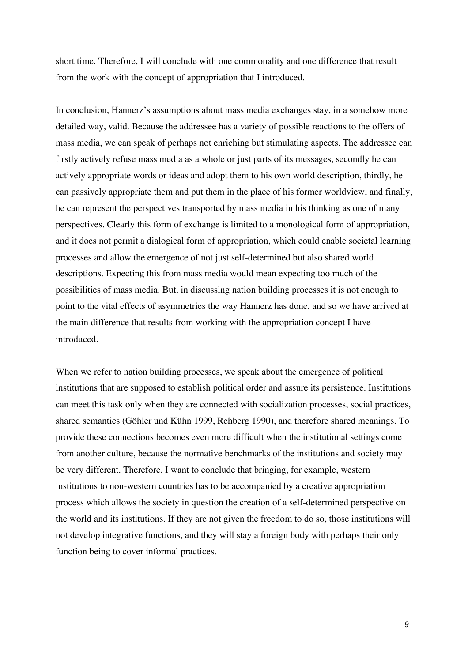short time. Therefore, I will conclude with one commonality and one difference that result from the work with the concept of appropriation that I introduced.

In conclusion, Hannerz's assumptions about mass media exchanges stay, in a somehow more detailed way, valid. Because the addressee has a variety of possible reactions to the offers of mass media, we can speak of perhaps not enriching but stimulating aspects. The addressee can firstly actively refuse mass media as a whole or just parts of its messages, secondly he can actively appropriate words or ideas and adopt them to his own world description, thirdly, he can passively appropriate them and put them in the place of his former worldview, and finally, he can represent the perspectives transported by mass media in his thinking as one of many perspectives. Clearly this form of exchange is limited to a monological form of appropriation, and it does not permit a dialogical form of appropriation, which could enable societal learning processes and allow the emergence of not just self-determined but also shared world descriptions. Expecting this from mass media would mean expecting too much of the possibilities of mass media. But, in discussing nation building processes it is not enough to point to the vital effects of asymmetries the way Hannerz has done, and so we have arrived at the main difference that results from working with the appropriation concept I have introduced.

When we refer to nation building processes, we speak about the emergence of political institutions that are supposed to establish political order and assure its persistence. Institutions can meet this task only when they are connected with socialization processes, social practices, shared semantics (Göhler und Kühn 1999, Rehberg 1990), and therefore shared meanings. To provide these connections becomes even more difficult when the institutional settings come from another culture, because the normative benchmarks of the institutions and society may be very different. Therefore, I want to conclude that bringing, for example, western institutions to non-western countries has to be accompanied by a creative appropriation process which allows the society in question the creation of a self-determined perspective on the world and its institutions. If they are not given the freedom to do so, those institutions will not develop integrative functions, and they will stay a foreign body with perhaps their only function being to cover informal practices.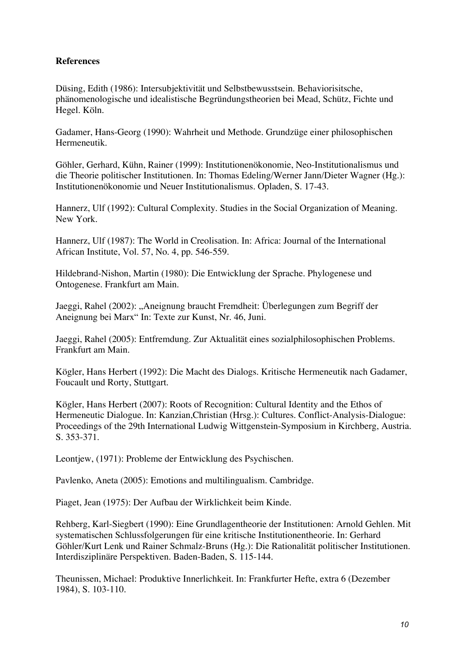# **References**

Düsing, Edith (1986): Intersubjektivität und Selbstbewusstsein. Behaviorisitsche, phänomenologische und idealistische Begründungstheorien bei Mead, Schütz, Fichte und Hegel. Köln.

Gadamer, Hans-Georg (1990): Wahrheit und Methode. Grundzüge einer philosophischen Hermeneutik.

Göhler, Gerhard, Kühn, Rainer (1999): Institutionenökonomie, Neo-Institutionalismus und die Theorie politischer Institutionen. In: Thomas Edeling/Werner Jann/Dieter Wagner (Hg.): Institutionenökonomie und Neuer Institutionalismus. Opladen, S. 17-43.

Hannerz, Ulf (1992): Cultural Complexity. Studies in the Social Organization of Meaning. New York.

Hannerz, Ulf (1987): The World in Creolisation. In: Africa: Journal of the International African Institute, Vol. 57, No. 4, pp. 546-559.

Hildebrand-Nishon, Martin (1980): Die Entwicklung der Sprache. Phylogenese und Ontogenese. Frankfurt am Main.

Jaeggi, Rahel (2002): "Aneignung braucht Fremdheit: Überlegungen zum Begriff der Aneignung bei Marx" In: Texte zur Kunst, Nr. 46, Juni.

Jaeggi, Rahel (2005): Entfremdung. Zur Aktualität eines sozialphilosophischen Problems. Frankfurt am Main.

Kögler, Hans Herbert (1992): Die Macht des Dialogs. Kritische Hermeneutik nach Gadamer, Foucault und Rorty, Stuttgart.

Kögler, Hans Herbert (2007): Roots of Recognition: Cultural Identity and the Ethos of Hermeneutic Dialogue. In: Kanzian,Christian (Hrsg.): Cultures. Conflict-Analysis-Dialogue: Proceedings of the 29th International Ludwig Wittgenstein-Symposium in Kirchberg, Austria. S. 353-371.

Leontjew, (1971): Probleme der Entwicklung des Psychischen.

Pavlenko, Aneta (2005): Emotions and multilingualism. Cambridge.

Piaget, Jean (1975): Der Aufbau der Wirklichkeit beim Kinde.

Rehberg, Karl-Siegbert (1990): Eine Grundlagentheorie der Institutionen: Arnold Gehlen. Mit systematischen Schlussfolgerungen für eine kritische Institutionentheorie. In: Gerhard Göhler/Kurt Lenk und Rainer Schmalz-Bruns (Hg.): Die Rationalität politischer Institutionen. Interdisziplinäre Perspektiven. Baden-Baden, S. 115-144.

Theunissen, Michael: Produktive Innerlichkeit. In: Frankfurter Hefte, extra 6 (Dezember 1984), S. 103-110.